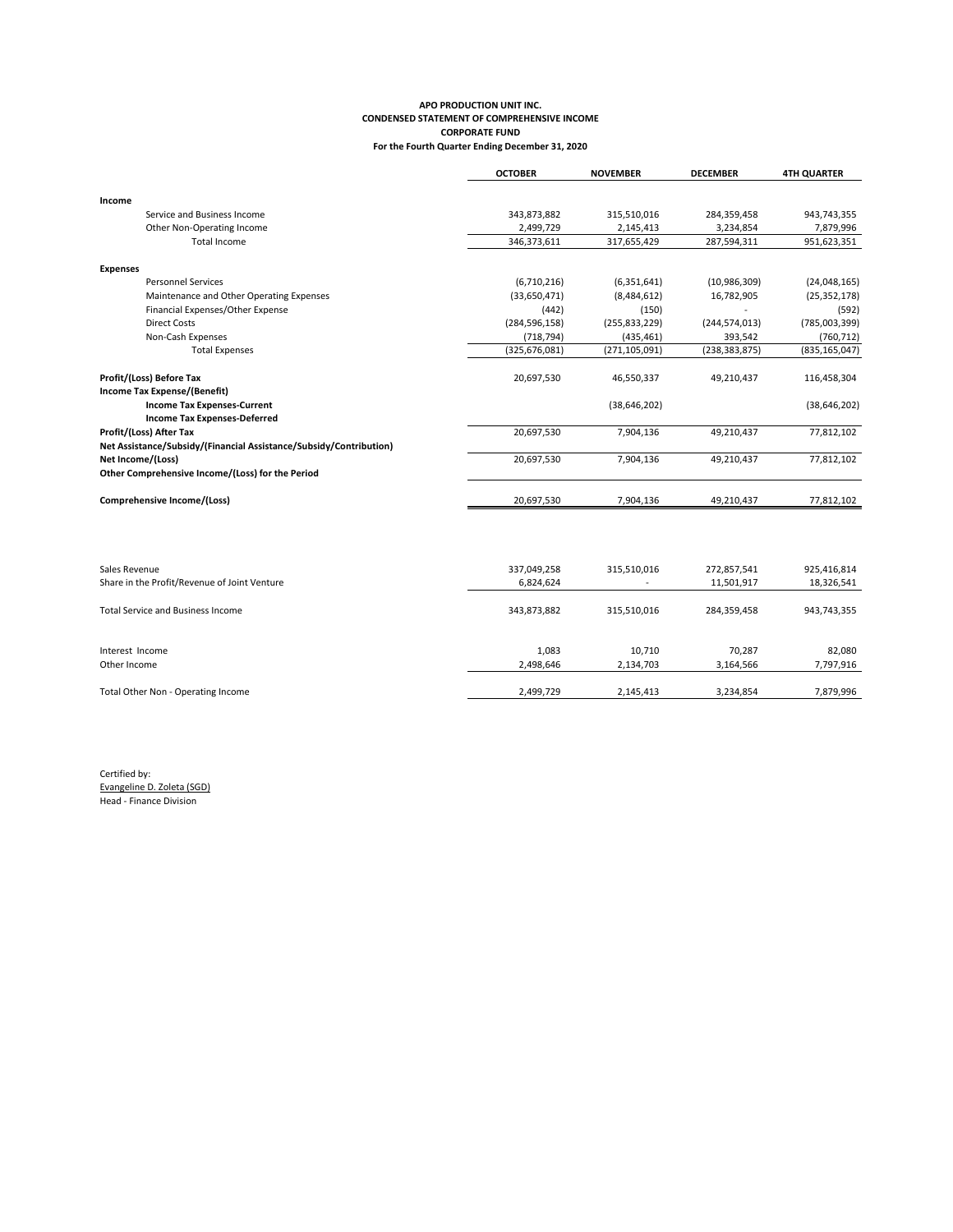## **APO PRODUCTION UNIT INC. CONDENSED STATEMENT OF COMPREHENSIVE INCOME CORPORATE FUND For the Fourth Quarter Ending December 31, 2020**

|                                                                    | <b>OCTOBER</b>  | <b>NOVEMBER</b> | <b>DECEMBER</b> | <b>4TH QUARTER</b> |
|--------------------------------------------------------------------|-----------------|-----------------|-----------------|--------------------|
|                                                                    |                 |                 |                 |                    |
| Income                                                             |                 |                 |                 |                    |
| Service and Business Income                                        | 343,873,882     | 315,510,016     | 284,359,458     | 943,743,355        |
| Other Non-Operating Income                                         | 2,499,729       | 2,145,413       | 3,234,854       | 7,879,996          |
| Total Income                                                       | 346,373,611     | 317,655,429     | 287,594,311     | 951,623,351        |
| <b>Expenses</b>                                                    |                 |                 |                 |                    |
| <b>Personnel Services</b>                                          | (6,710,216)     | (6,351,641)     | (10,986,309)    | (24,048,165)       |
| Maintenance and Other Operating Expenses                           | (33,650,471)    | (8,484,612)     | 16,782,905      | (25, 352, 178)     |
| Financial Expenses/Other Expense                                   | (442)           | (150)           |                 | (592)              |
| <b>Direct Costs</b>                                                | (284, 596, 158) | (255, 833, 229) | (244, 574, 013) | (785,003,399)      |
| Non-Cash Expenses                                                  | (718, 794)      | (435, 461)      | 393,542         | (760, 712)         |
| <b>Total Expenses</b>                                              | (325, 676, 081) | (271, 105, 091) | (238, 383, 875) | (835, 165, 047)    |
| Profit/(Loss) Before Tax                                           | 20,697,530      | 46,550,337      | 49,210,437      | 116,458,304        |
| Income Tax Expense/(Benefit)                                       |                 |                 |                 |                    |
| <b>Income Tax Expenses-Current</b>                                 |                 | (38, 646, 202)  |                 | (38, 646, 202)     |
| <b>Income Tax Expenses-Deferred</b>                                |                 |                 |                 |                    |
| Profit/(Loss) After Tax                                            | 20,697,530      | 7,904,136       | 49,210,437      | 77,812,102         |
| Net Assistance/Subsidy/(Financial Assistance/Subsidy/Contribution) |                 |                 |                 |                    |
| Net Income/(Loss)                                                  | 20,697,530      | 7,904,136       | 49,210,437      | 77,812,102         |
| Other Comprehensive Income/(Loss) for the Period                   |                 |                 |                 |                    |
| Comprehensive Income/(Loss)                                        | 20,697,530      | 7,904,136       | 49,210,437      | 77,812,102         |
|                                                                    |                 |                 |                 |                    |
|                                                                    |                 |                 |                 |                    |
|                                                                    |                 |                 |                 |                    |

| Sales Revenue                                | 337,049,258 | 315,510,016              | 272,857,541 | 925,416,814 |
|----------------------------------------------|-------------|--------------------------|-------------|-------------|
| Share in the Profit/Revenue of Joint Venture | 6,824,624   | $\overline{\phantom{a}}$ | 11,501,917  | 18,326,541  |
|                                              |             |                          |             |             |
| <b>Total Service and Business Income</b>     | 343,873,882 | 315,510,016              | 284,359,458 | 943,743,355 |
|                                              |             |                          |             |             |
| Interest Income                              | 1,083       | 10.710                   | 70.287      | 82.080      |
| Other Income                                 | 2,498,646   | 2,134,703                | 3,164,566   | 7,797,916   |
|                                              |             |                          |             |             |
| Total Other Non - Operating Income           | 2,499,729   | 2,145,413                | 3,234,854   | 7,879,996   |
|                                              |             |                          |             |             |

Certified by: Evangeline D. Zoleta (SGD) Head - Finance Division